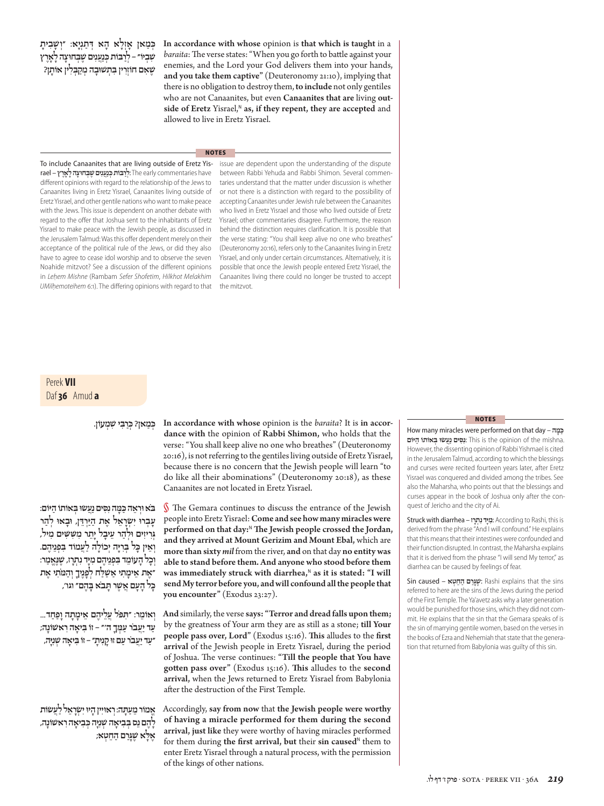# **ּכ ְ מַ אן? ּכ ְ רַ בִּ י שׁ ִ מְ עוֹן.**

**In accordance with whose** opinion is the *baraita*? It is **in accordance with** the opinion of **Rabbi Shimon,** who holds that the verse: "You shall keep alive no one who breathes" (Deuteronomy 20:16), is not referring to the gentiles living outside of Eretz Yisrael, because there is no concern that the Jewish people will learn "to do like all their abominations" (Deuteronomy 20:18), as these Canaanites are not located in Eretz Yisrael.

**בּ ֹא וּ רְ אֵ ה ּכ ַּ מָ ה נִ סִּ ים נַעֲ שׂ וּ בְּ אוֹתוֹ הַ יּוֹם: עָ בְ ּרו יִ שְׂ רָ אֵ ל אֶ ת הַ יַּ רְ דֵּ ן, וּ בָ ּאו לְ הַ ר ּגְ רִ ִיזים וּ לְ הַ ר עֵ יבָ ל יָ תֵ ר ּמִ ש ּׁ ִ ׁ ִ שים מִ יל, וְ אֵ ין ּכָ ל בְּ רִ יָּה יְ כוֹלָ ה לַ עֲ מוֹד בִּ פְ נֵיהֶ ם. וְ כָ ל הָ עוֹמֵ ד בִּ פְ נֵיהֶ ם מִ יָּד נִ תְ רָ ז, ּשׁ ֶ נֶאֱ מַ ר: ״אֶ ת אֵ ימָ תִ י ּ אַ שׁ ַ לַ ח לְ פָ נֶ ָיך ּ וְ הַ מֹתִ י אֶ ת ּכָ ל הָ עָ ם אֲ שׁ ֶ ר ּתָ בֹא בָּ הֶ ם״ וגו',**

**וְ אוֹמֵ ר: ּ״תּ ִ פֹל עֲ לֵ יהֶ ם אֵ ימָ תָ ה וָ פַ חַ ד... עַ ד יַ עֲ בֹר ּעַ מ ְ ךָ ה'״ – זוֹ בִּ יאָ ה רִ ׁאשוֹנָה; ״עַ ד יַ עֲ בֹר עַ ם ּזו קָ נִיתָ ״ – זוֹ בִּ יאָ השׁ ְ נִ יָּה,**

**אֱ מוֹר ּ מֵ עַ תָ ה: רְ אוּ יִין הָ ּיו יִ שְׂ רָ אֵ ל לַ עֲ שׂ וֹת לָ הֶ ם נֵס בְּ בִ יאָ השׁ ְ נִ יָּה ּכ ְ בִ יאָ ה רִ ׁאשוֹנָה, ּאֶ לָ א ּשׁ ֶ גָ רַ ם הַ חֵ טְ א;**

§ The Gemara continues to discuss the entrance of the Jewish people into Eretz Yisrael: **Come and see how many miracles were**  performed on that day:<sup>N</sup> The Jewish people crossed the Jordan, **and they arrived at Mount Gerizim and Mount Ebal,** which are **more than sixty** *mil* from the river, **and** on that day **no entity was able to stand before them. And anyone who stood before them**  was immediately struck with diarrhea,<sup>N</sup> as it is stated: "I will **send My terror before you, and will confound all the people that you encounter"** (Exodus 23:27).

**And** similarly, the verse **says: "Terror and dread falls upon them;**  by the greatness of Your arm they are as still as a stone; **till Your people pass over, Lord"** (Exodus 15:16). This alludes to the first **arrival** of the Jewish people in Eretz Yisrael, during the period of Joshua. The verse continues: "Till the people that You have gotten pass over" (Exodus 15:16). This alludes to the second **arrival,** when the Jews returned to Eretz Yisrael from Babylonia after the destruction of the First Temple.

Accordingly, **say from now** that **the Jewish people were worthy of having a miracle performed for them during the second arrival, just like** they were worthy of having miracles performed for them during the first arrival, but their sin caused<sup>N</sup> them to enter Eretz Yisrael through a natural process, with the permission of the kings of other nations.

### **NOTES**

 How many miracles were performed on that day – **ה ָמ ַ ּ כּ** .mishna the of opinion the is This :**נִ סִּ ים נַעֲ שׂ וּ בְּ אוֹתוֹ הַ יּוֹם** However, the dissenting opinion of Rabbi Yishmael is cited in the Jerusalem Talmud, according to which the blessings and curses were recited fourteen years later, after Eretz Yisrael was conquered and divided among the tribes. See also the Maharsha, who points out that the blessings and curses appear in the book of Joshua only after the conquest of Jericho and the city of Ai.

 Struck with diarrhea – **ז ָר ְת ִנ דָיּ ִמ**: According to Rashi, this is derived from the phrase "And I will confound." He explains that this means that their intestines were confounded and their function disrupted. In contrast, the Maharsha explains that it is derived from the phrase "I will send My terror," as diarrhea can be caused by feelings of fear.

 sins the that explains Rashi : **ּשׁ ֶ גָ רַ ם הַ חֵ טְ א** – caused Sin referred to here are the sins of the Jews during the period of the First Temple. The Ya'avetz asks why a later generation would be punished for those sins, which they did not commit. He explains that the sin that the Gemara speaks of is the sin of marrying gentile women, based on the verses in the books of Ezra and Nehemiah that state that the generation that returned from Babylonia was guilty of this sin.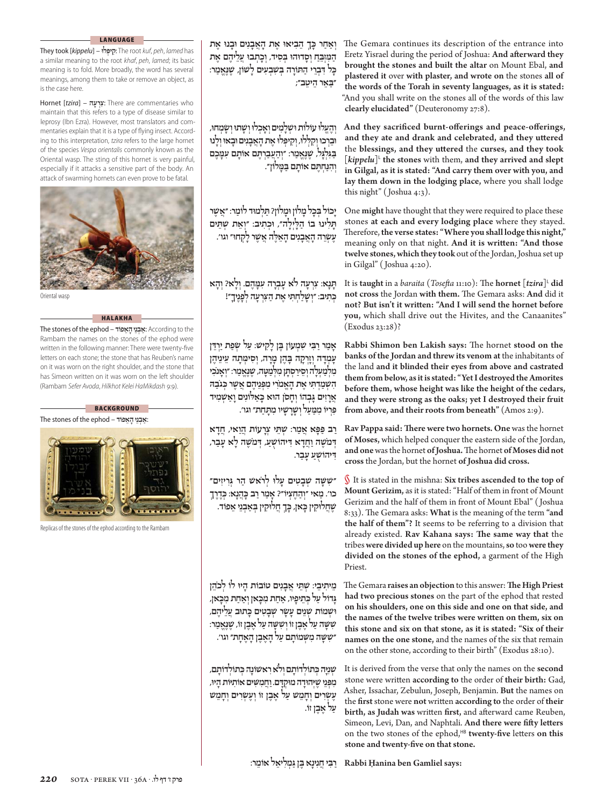### **LANGUAGE**

 They took [*kippelu*] – **לוּ יפְּ קִ** : The root *kuf*, *peh*, *lamed* has a similar meaning to the root *khaf*, *peh*, *lamed*; its basic meaning is to fold. More broadly, the word has several meanings, among them to take or remove an object, as is the case here.

 Hornet [*tzira*] – **עהָרְצִ** : There are commentaries who maintain that this refers to a type of disease similar to leprosy (Ibn Ezra). However, most translators and commentaries explain that it is a type of flying insect. According to this interpretation, *tzira* refers to the large hornet of the species *Vespa orientalis* commonly known as the Oriental wasp. The sting of this hornet is very painful, especially if it attacks a sensitive part of the body. An attack of swarming hornets can even prove to be fatal.



Oriental wasp

## **HALAKHA**

 The stones of the ephod – **אפוֹדֵהָ ניֵבְ אַ**: According to the Rambam the names on the stones of the ephod were written in the following manner: There were twenty-five letters on each stone; the stone that has Reuben's name on it was worn on the right shoulder, and the stone that has Simeon written on it was worn on the left shoulder (Rambam *Sefer Avoda*, *Hilkhot Kelei HaMikdash* 9:9).

## **BACKGROUND**

**ַ**:**א ְבֵני ָהֵאפוֹד** – ephod the of stones The



Replicas of the stones of the ephod according to the Rambam

**ּכ ְך ֵה ִב ּ יאו ֶאת ָהֲאָבִנים ּוָב ּנו ֶאת ְוַאַחר ָ ַה ִּמְזֵּבח ְוָס ּדו ּהו ְּב ִסיד, ְוָכ ְת ּבו ֲעֵל ֶיהם ֶאת ּכל ִ ּד ְבֵרי ַה ּתָוֹרה ְּבׁ ִשְב ִעים ָל ׁשוֹן, ֶׁשֶּנֱאַמר: ָ ַּ״בֵאר ֵה ֵיטב״;**

**ְוֶהֱע ּלו עוֹלוֹת ּו ׁ ְשָל ִמים ְוָא ְכ ּלו ְו ָׁש ּתו ְו ָׂשְמ ּחו, ּוֵבְר ּכו ְו ִקְּל ּלו, ְו ִק ְּיפ ּלו ֶאת ָהֲאָבִנים ּוָב ּאו ְוָל ּנו ַּבִּגְלָּגל, ֶׁשֶּנֱאַמר: ְ״וַהֲעַבְרֶּתם ָאוֹתם ִע ָּמֶכם ְו ִהַּנ ְח ֶּתם ָאוֹתם ַּב ָּמלוֹן״.**

**ָיכוֹל ְּבָכל ָמלוֹן ּוָמלוֹן? ַּתְל ּמוד ַלוֹמר: ֲ״אֶׁשר ָּתִל ּ ינו בוֹ ַהָּלְיָלה״, ּו ְכ ִתיב: ְ״וֵאת ׁ ְש ֵּתים ֶע ְׂשֵרה ָהֲאָבִנים ָהֵאֶּלה ֲאֶׁשרָל ְק ּחו״ וגו'.**

**ָּתָנא: ִצְרָעה לֹא ָע ְבָרה ִע ָּמֶהם. ְוָלא? ְוָהא ּכ ִתיב: ְ״ו ָׁשַל ְח ִּתי ֶאת ַה ּצִ ְרָעה ְלָפֶנ ָיך״! ְ**

**ָאַמרַרִּבי ׁ ִשְמעוֹן ֶּבן ָל ִק ׁיש: ַעל ְׂשַפת ַיְרֵּדן ָע ְמָדה ְוָזְרָקה ָּבֶהן ָמָרה, ְו ִס ְּימָתה ֵע ֵינ ֶיהן ּלַמ ָּטה, ֶׁשֶּנֱאַמר: ְ״וָאנֹ ִכי ִמְלַמ ְעָלהְוֵסַירְס ָּתן ִמְ ּכגַֹב ּה ִהׁ ְשַמְד ִּתי ֶאת ָהֱאמִֹרי ִמְּפֵנ ֶיהם ֲאֶׁשר ְ ּכַא ּל ִוֹניםָוַאׁ ְשִמיד ֲאָרִזים ָּג ְבהוֹ ְוָחסֹן ּהוא ָ ִּפְריוֹ ִמ ַּמַעל ְו ָׁשָרָׁשיו ִמ ָּתַחת״ וגו'.**

**ַרב ַּפ ָּפא ֲאַמר: ׁ ְש ֵּתי ְצָרעוֹת ֲהַואי, ֲחָדא ְ ּדמֹ ֶׁשה ַוֲחָדא ִ ּד ֻׁ יהוֹשע, ְ ּדמֹ ֶׁשה ָלא ָעַבר, ִ ּד ֻׁ יהוֹשע ָעַבר.**

**ׁ ִ״שָּׁשה ׁ ְשָב ִטים ָע ּלו ְלרֹ ׁאש ַהר ְּגִר ִיזים״ ּכֶדֶרְך ּכֲהָנא: ְ כו'. ַמאי ְ״וַהֶח ְציוֹ״? ָאַמרַרב ָ ּכ ְך ֲח ּלו ִקין ְּבַא ְבֵני ֵאפוֹד. ּכאן, ָ ֶׁשֲח ּלו ִקין ָ**

**ֵמ ִית ֵיבי: ׁ ְשֵּתי ֲאָבִנים טוֹבוֹת ָה ּיו לוֹ ְלכֵֹהן ּכאן, ּכאן ְוַאַחת ִמָ ּכֵת ָיפיו, ַאַחת ִמָ ָּגדוֹל ַעל ְ ּכ ּתוב ֲעֵל ֶיהם, ּו ׁ ְשמוֹת ׁ ְשֵנים ָע ָׂשר ׁ ְשָב ִטים ָ ׁ ִשָּׁשה ַעל ֶאֶבן זוֹ ְו ׁ ִשָּׁשה ַעל ֶאֶבן זוֹ, ֶׁשֶּנֱאַמר: ׁ ִ״שָּׁשה ִמְּׁש ָמוֹתם ַעל ָהֶאֶבן ָהֶאָחת״ וגו'.**

**ּכ ְתוֹל ָדוֹתם, ּכ ְתוֹל ָדוֹתם ְולֹאִר ׁאש ָוֹנה ְ ׁ ְשִנָיּה ְ ִמְּפֵני ֶׁשְיּ ּהוָדה ּמו ְקָּדם. ַוֲח ִמִּׁשים ִאוֹתיּוֹת ָה ּיו, ֶע ְׂשִרים ְוָחֵמׁש ַעל ֶאֶבן זוֹ ְוֶע ְׂשִרים ְוָחֵמׁש ַעל ֶאֶבן זוֹ.**

The Gemara continues its description of the entrance into Eretz Yisrael during the period of Joshua: And afterward they **brought the stones and built the altar** on Mount Ebal, **and plastered it** over **with plaster, and wrote on** the stones **all of the words of the Torah in seventy languages, as it is stated:**  "And you shall write on the stones all of the words of this law clearly elucidated" (Deuteronomy 27:8).

And they sacrificed burnt-offerings and peace-offerings, and they ate and drank and celebrated, and they uttered the blessings, and they uttered the curses, and they took  $\lceil kippelu \rceil$ <sup>L</sup> the stones with them, and they arrived and slept **in Gilgal, as it is stated: "And carry them over with you, and lay them down in the lodging place,** where you shall lodge this night" (Joshua  $4:3$ ).

One **might** have thought that they were required to place these stones **at each and every lodging place** where they stayed. Therefore, the verse states: "Where you shall lodge this night," meaning only on that night. And it is written: "And those **twelve stones, which they took** out of the Jordan, Joshua set up in Gilgal" (Joshua 4:20).

It is **taught** in a *baraita* (*Tosefta* 11:10): The **hornet** [*tzira*]<sup>L</sup> did not cross the Jordan with them. The Gemara asks: And did it not? But isn't it written: "And I will send the hornet before **you,** which shall drive out the Hivites, and the Canaanites"  $(Exodus 23:28)?$ 

**Rabbi Shimon ben Lakish says:** The hornet **stood** on the **banks of the Jordan and threw its venom at** the inhabitants of the land **and it blinded their eyes from above and castrated them from below, as it is stated: "Yet I destroyed the Amorites before them, whose height was like the height of the cedars, and they were strong as the oaks; yet I destroyed their fruit**  from above, and their roots from beneath" (Amos 2:9).

**Rav Pappa said: Th ere were two hornets. One** was the hornet **of Moses,** which helped conquer the eastern side of the Jordan, and one was the hornet of Joshua. The hornet of Moses did not **cross** the Jordan, but the hornet **of Joshua did cross.**

§ It is stated in the mishna: **Six tribes ascended to the top of Mount Gerizim,** as it is stated: "Half of them in front of Mount Gerizim and the half of them in front of Mount Ebal" ( Joshua Ƭ:ƧƧ). Th e Gemara asks: **What** is the meaning of the term **"and the half of them"?** It seems to be referring to a division that already existed. **Rav Kahana says: Th e same way that** the tribes **were divided up here** on the mountains, **so** too **were they divided on the stones of the ephod,** a garment of the High Priest.

The Gemara raises an objection to this answer: The High Priest **had two precious stones** on the part of the ephod that rested **on his shoulders, one on this side and one on that side, and**  the names of the twelve tribes were written on them, six on **this stone and six on that stone, as it is stated: "Six of their names on the one stone,** and the names of the six that remain on the other stone, according to their birth" (Exodus 28:10).

It is derived from the verse that only the names on the **second**  stone were written according to the order of their birth: Gad, Asher, Issachar, Zebulun, Joseph, Benjamin. **But** the names on the first stone were not written according to the order of their birth, as Judah was written first, and afterward came Reuben, Simeon, Levi, Dan, and Naphtali. **And there were fift y lett ers**  on the two stones of the ephod,<sup>HB</sup> twenty-five letters on this **stone and twenty-fi ve on that stone.**

**Rabbi Ĥanina ben Gamliel says: ַרִּביֲחִנָינא ֶּבן ַּג ְמִל ֵיאל ֵאוֹמר:**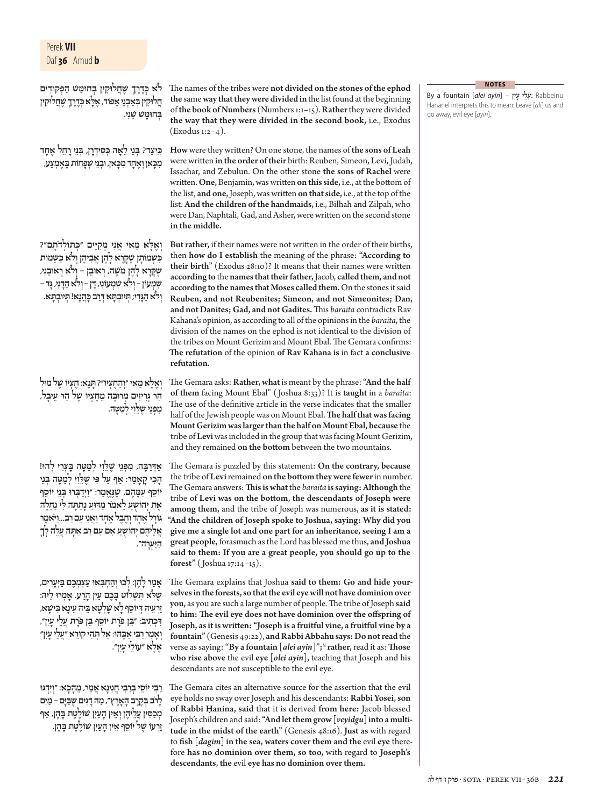# Perek **VII** Daf **36** Amud **b**

**ּכֶדֶרְך ֶׁשֲח ּלו ִקין ְּב ּחו ַּמׁש ַה ְּפ ּקוִדים לֹא ְ ּכֶדֶרְך ֶׁשֲח ּלו ִקין ּלא ְ ֲח ּלו ִקין ְּבַא ְבֵני ֵאפוֹד, ֶאָ ְּב ּחו ָּמׁש ֵׁשִני.**

**ּכ ִס ְידָרן, ְּבֵניָרֵחל ֶאָחד ּכ ַיצד? ְּבֵני ֵלָאה ְ ֵ ּכאן, ּוְבֵני ׁ ְשָפחוֹת ָּבֶא ְמַצע, ּכאן ְוֶאָחד ִמָ ִמָ**

**ּ״כ ְתוֹלדָֹתם״? ּלא ַמאי ֲאִני ְמַקֵיּים ְ ְוֶאָ ּכֵּׁשמוֹת ּכׁ ְש ָמוֹתן ֶׁשָּקָרא ָלֶהן ֲא ִב ֶיהן ְולֹא ַ ִ ֶׁשָּקָרא ָלֶהן מֹ ֶׁשה, ְר ּאוֵבן – ְולֹא ְר ּאוֵבִני, ׁ ִשְמעוֹן – ְולֹא ׁ ִשְמ ִעוֹני, ָּדן – ְולֹא ַהָּדִני, ָּגד – ּכֲהָנא! ְּת ּיוְב ָּתא. ְולֹא ַהָּגִדי; ְּת ּיוְב ָּתא ְ ּדַרב ָ**

**ְוֶאָּלא ַמאי ְ״וַהֶח ְציוֹ״? ָּתָנא: ֶח ְציוֹ ֶׁשל ּמול ַהר ְּגִר ִיזים ְמ ּרוֶּבה ֵמֶח ְציוֹ ֶׁשל ַהר ֵע ָיבל, ִמְּפֵני ֶׁשֵּלִוי ְלַמ ָּטה.**

**ּלִוי ְלַמ ָּטה ָּב ְצִרי ְל ּהו! ַאְ ּדַרָּבה, ִמְּפֵני ֶׁשֵ ָה ִכי ָקָאַמר: ַאף ַעל ִּפי ֶׁשֵּלִוי ְלַמ ָּטה ְּבֵני ֵ יוֹסף ִע ָּמֶהם, ֶׁשֶּנֱאַמר: ַ״וְיַד ְּב ּרו ְּבֵני ֵ יוֹסף ֶאת ְי ֻׁ הוֹשע ֵלאמֹר ַמ ּדּוע ָנַת ָּתה ִּלי ַנֲחָלה ּגָוֹרל ֶאָחד ְוֶחֶבל ֶאָחדַוֲאִני ַעםַרב...ַויֹּ ֶאמר ֲאֵל ֶיהם ְי ֻׁ הוֹשע ִאם ַעםַרב ַא ָּתה ֲעֵלה ְלָך ַהַיּ ְעָרה״.**

**ָאַמר ָלֶהן: ְל ּכו ְוַה ְח ִּב ּאו ַע ְצ ְמֶכם ַּבְיָּעִרים, ֶׁשּלֹא ִּתׁ ְשלוֹט ָּבֶכם ַעִין ָהַרע. ָא ְמ ּרו ֵל ּיה: ַזְרֵע ּיה ְ ּד ֵ יוֹסף ָלא ָׁשְלָטא ֵּב ּיה ֵע ָינא ִּב ָׁ ישא, ִ ּד ְכ ִתיב: ֵּ״בן ּפָֹרת ֵ יוֹסף ֵּבן ּפָֹרת ֲעֵלי ָעִין״, ְוָאַמרַרִּבי ַאָּב ּהו: ַאל ְּת ִהי ֵקוֹרא ֲ״עֵלי ָעִין״ ּלא ֵ ״עוֹלי ָעִין״. ֶאָ**

**ַרִּבי ֵ יוֹסי ְּבַרִּביֲחִנָינא ֲאַמר, ֵמָהָכא: ְ״וִיְדּגּו ָלרֹב ְּבֶקֶרב ָהָאֶרץ״, ַמהָּדִגים ֶׁשַּבָיּם – ַמִים ְמַכ ִּסיןֲעֵל ֶיהן ְוֵאין ָהַעִין ׁש ֶוֹלֶטת ָּבֶהן, ַאף ַזְרעוֹ ֶׁשל ֵ יוֹסף ֵאין ָהַעִין ׁש ֶוֹלֶטת ָּבֶהן.** The names of the tribes were not divided on the stones of the ephod **the** same **way that they were divided in** the list found at the beginning of the book of Numbers (Numbers 1:1-15). Rather they were divided **the way that they were divided in the second book,** i.e., Exodus  $(Exodus 1:2-4).$ 

How were they written? On one stone, the names of the sons of Leah were written in the order of their birth: Reuben, Simeon, Levi, Judah, Issachar, and Zebulun. On the other stone **the sons of Rachel** were written. One, Benjamin, was written on this side, i.e., at the bottom of the list, and one, Joseph, was written on that side, i.e., at the top of the list. **And the children of the handmaids,** i.e., Bilhah and Zilpah, who were Dan, Naphtali, Gad, and Asher, were written on the second stone **in the middle.**

But rather, if their names were not written in the order of their births, then **how do I establish** the meaning of the phrase: **"According to**  their birth" (Exodus 28:10)? It means that their names were written **according to** the **names that their father,** Jacob, **called them, and not according to the names that Moses called them.** On the stones it said **Reuben, and not Reubenites; Simeon, and not Simeonites; Dan,**  and not Danites; Gad, and not Gadites. This *baraita* contradicts Rav Kahana's opinion, as according to all of the opinions in the *baraita*, the division of the names on the ephod is not identical to the division of the tribes on Mount Gerizim and Mount Ebal. The Gemara confirms: **Th e refutation** of the opinion **of Rav Kahana is** in fact **a conclusive refutation.**

The Gemara asks: Rather, what is meant by the phrase: "And the half of them facing Mount Ebal" (Joshua 8:33)? It is taught in a *baraita*: The use of the definitive article in the verse indicates that the smaller half of the Jewish people was on Mount Ebal. **Th e half that was facing Mount Gerizim was larger than the half on Mount Ebal, because** the tribe of **Levi** was included in the group that was facing Mount Gerizim, and they remained on the bottom between the two mountains.

The Gemara is puzzled by this statement: On the contrary, because the tribe of **Levi** remained **on the bott om they were fewer** in number. The Gemara answers: This is what the *baraita* is saying: Although the tribe of Levi was on the bottom, the descendants of Joseph were **among them,** and the tribe of Joseph was numerous, **as it is stated: "And the children of Joseph spoke to Joshua, saying: Why did you give me a single lot and one part for an inheritance, seeing I am a great people,** forasmuch as the Lord has blessed me thus, **and Joshua said to them: If you are a great people, you should go up to the forest"** (*Joshua* 17:14–15).

The Gemara explains that Joshua said to them: Go and hide your**selves in the forests, so that the evil eye will not have dominion over**  you, as you are such a large number of people. The tribe of Joseph said **to him: Th e evil eye does not have dominion over the off spring of Joseph, as it is writt en: "Joseph is a fruitful vine, a fruitful vine by a**  fountain" (Genesis 49:22), and Rabbi Abbahu says: Do not read the verse as saying: "By a fountain [*alei ayin*]";<sup>N</sup> rather, read it as: Those **who rise above** the evil **eye [***olei ayin***],** teaching that Joseph and his descendants are not susceptible to the evil eye.

The Gemara cites an alternative source for the assertion that the evil eye holds no sway over Joseph and his descendants: **Rabbi Yosei, son of Rabbi Ĥanina, said** that it is derived **from here:** Jacob blessed Joseph's children and said: **"And let them grow [***veyidgu***] into a multitude in the midst of the earth"** (Genesis 48:16). Just as with regard to **fi sh [***dagim***] in the sea, waters cover them and the** evil **eye** therefore **has no dominion over them, so too,** with regard to **Joseph's descendants, the** evil **eye has no dominion over them.**

 By a fountain [*alei ayin*] – **יןִעָ ליֵעֲ**: Rabbeinu Ĥananel interprets this to mean: Leave [*ali*] us and go away, evil eye [*ayin*].

**NOTES**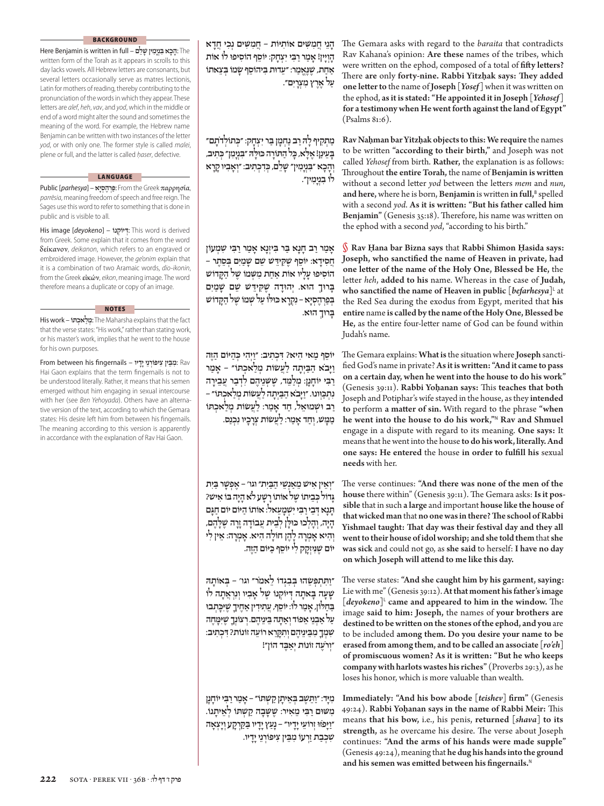# **BACKGROUND**

 The **ָ**:**הָכא ִּבְנָי ִמין ָׁשֵלם** – full in written is Benjamin Here written form of the Torah as it appears in scrolls to this day lacks vowels. All Hebrew letters are consonants, but several letters occasionally serve as matres lectionis, Latin for mothers of reading, thereby contributing to the pronunciation of the words in which they appear. These letters are *alef*, *heh*, *vav*, and *yod*, which in the middle or end of a word might alter the sound and sometimes the meaning of the word. For example, the Hebrew name Benjamin can be written with two instances of the letter *yod*, or with only one. The former style is called *malei*, plene or full, and the latter is called *ĥaser*, defective.

### **LANGUAGE**

 Public [*parhesya*] – **יאָסְ הֶרְפַּ** : From the Greek παρρησία, *parrēsia*, meaning freedom of speech and free reign. The Sages use this word to refer to something that is done in public and is visible to all.

 His image [*deyokeno*] – **יוֹקנוֹ ְ דּ ְ**: This word is derived from Greek. Some explain that it comes from the word δείκανον, *deikanon*, which refers to an engraved or embroidered image. However, the *ge'onim* explain that it is a combination of two Aramaic words, *dio-ikonin*, from the Greek εἰκών, *eikon*, meaning image. The word therefore means a duplicate or copy of an image.

 His work – **תוֹּ אכְ לַמְ** : The Maharsha explains that the fact that the verse states: "His work," rather than stating work, or his master's work, implies that he went to the house for his own purposes.

**NOTES**

 Rav : **ִמֵּבין ִצ ּיפ ְוֹרֵניָיָדיו** – fingernails his between From Hai Gaon explains that the term fingernails is not to be understood literally. Rather, it means that his semen emerged without him engaging in sexual intercourse with her (see *Ben Yehoyada*). Others have an alternative version of the text, according to which the Gemara states: His desire left him from between his fingernails. The meaning according to this version is apparently in accordance with the explanation of Rav Hai Gaon.

**ָהֵני ֲח ִמִּׁשים ִאוֹתיּוֹת – ֲח ִמִּׁשים ְנִכי ֲחָדא ָהְוָיין! ָאַמרַרִּבי ִי ְצָחק: ֵ יוֹסף ִהוֹס ּ יפו לוֹ אוֹת ַאַחת, ֶׁשֶּנֱאַמר: ֵ״ע ּדות ִּב ֵ יהוֹסף ָׂשמוֹ ְּבֵצאתוֹ ַעל ֶאֶרץ ִמ ְצָרִים״.**

**ּ״כ ְתוֹלדָֹתם״ ַמ ְתִקיף ָל ּהַרב ַנ ְחָמן ַּבר ִי ְצָחק: ְ ּכ ִתיב, ּכל ַה ּתָוֹרה ּכּוָּל ּה ִּ״בְנָי ִמן״ ְ ָּבֵע ַינן! ֶאָּלא, ָ ּכִד ְכ ִתיב: ְ״וָא ִביוָקָרא ְוָהָכא ִּ״בְנָי ִמין״ ָׁשֵלם, ְ לוֹ ִבְנָי ִמין״.**

**ָאַמרַרב ָחָנא ַּבר ִּב ְיזָנא ָאַמרַרִּבי ׁ ִש ְמעוֹן ֲח ִס ָידא: ֵ יוֹסף ֶׁשִּק ֵּיד ׁש ֵׁשם ָׁשַמִים ְּבֵסֶתר – ִהוֹס ּ יפו ָעָליו אוֹת ַאַחת ִמְּׁשמוֹ ֶׁשל ַהָּק ׁדוֹש ָּב ּרו ְך ּהוא. ְי ּהוָדה ֶׁשִּק ֵּיד ׁש ֵׁשם ָׁשַמִים ְּבַפְרֶה ְסָיא – ִנְקָרא ּכּו ּלוֹ ַעל ׁ ְשמוֹ ֶׁשל ַהָּק ׁדוֹש ָּב ּרו ְך ּהוא.**

**ּכַהיּוֹם ַהֶזּה ֵ יוֹסף ַמאי ִהיא? ִ ּד ְכ ִתיב: ַ״וְי ִהי ְ ַוָיּבֹא ַהַּבְיָתה ַלֲע ׂשוֹת ְמַל ְאכ ּתוֹ״ – ָאַמר ַרִּבי ָ יוֹחָנן: ְמַל ֵּמד, ֶׁשְּׁשֵנ ֶיהם ִלְדַבר ֲעֵבָירה ּכְּו ּ ונו. ַ״וָיּבֹא ַהַּבְיָתה ַלֲע ׂשוֹת ְמַל ְאכ ּתוֹ״ – ִנְתַ ַרב ּו ׁ ְש ּמוֵאל, ַחד ָאַמר: ַלֲע ׂשוֹת ְמַל ְאכ ּתוֹ ַמ ָּמׁש, ְוַחד ָאַמר: ַלֲע ׂשוֹת ְצָרָכיו ִנְכַנס.**

**ְ״וֵאין ִא ׁיש ֵמַאְנֵׁשי ַהַּבִית״ וגו' – ֶא ְפָׁשר ַּבִית ּכֵביתוֹ ֶׁשל אוֹתוָֹרָׁשע לֹא ָהָיה ּבוֹ ִא ׁיש? ָּגדוֹל ְ ָּתָנא ְ ּדֵביַרִּבי ִיׁ ְשָמֵעאל: אוֹתוֹ ַהיּוֹם יוֹם ַחָּגם ָהָיה, ְוָה ְל ּכו ּכּוָּלן ְלֵבית ֲע ָבוֹדהָזָרה ֶׁשָּלֶהם, ְו ִהיא ָא ְמָרה ָלֶהן ָחוֹלה ִהיא. ָא ְמָרה: ֵאין ִלי ּכיּוֹם ַהֶזּה. ּנ ְיזָקק ִלי ֵ יוֹסף ַ יוֹם ֶׁשִ**

**ַ״ו ִּת ְתְּפ ֵׂש ּהו ְּב ִבְגדוֹ ֵלאמֹר״ וגו' – ְּב ָאוֹת ּה ָׁשָעה ָּב ָאתה ְ ּד ְ יוֹקנוֹ ֶׁשל ָא ִביו ְוִנְרֲאָתה לוֹ ּכ ְת ּבו ַּבַח ּלוֹן, ָאַמר לוֹ: ֵ יוֹסף, ֲע ִת ִידין ַאֶח ָיך ֶׁשִיָּ ַעל ַא ְבֵני ֵאפוֹד ְוַא ָּתה ֵּב ֵינ ֶיהם. ְר ְצוֹנָך ֶׁשִיּ ָּמֶחה ׁ ִשְמָך ִמֵּב ֵינ ֶיהם ְו ִתָּקֵרא ֵרוֹעה זוֹנוֹת? ִ ּד ְכ ִתיב: ְ״ורֶֹעה זוֹנוֹת ְיַאֶּבד הוֹן״!**

**ִמָיּד: ַ״ו ֵּתֶׁשב ְּבֵא ָיתן ַקׁ ְשּתוֹ״ – ָאַמרַרִּבי ָ יוֹחָנן ִמּׁשּום ַרִּבי ֵמ ִאיר: ֶׁשָּׁשָבה ַק ׁ ְש ּתוֹ ְלֵא ָיתנוֹ. ַ״וָיּפֹ ּזּו ְז ֵרוֹעיָיָדיו״ – ָנַעץָיָדיו ַּבַּקְרָקע ְוָי ְצָאה ׁ ִשְכַבתַזְרעוֹ ִמֵּבין ִצ ּיפ ְוֹרֵניָיָדיו.**

The Gemara asks with regard to the *baraita* that contradicts Rav Kahana's opinion: **Are these** names of the tribes, which were written on the ephod, composed of a total of fifty letters? Th ere **are** only **forty-nine. Rabbi Yitzĥak says: Th ey added one letter to** the name of **Joseph** [*Yosef*] when it was written on the ephod, **as it is stated: "He appointed it in Joseph [***Yehosef* **] for a testimony when He went forth against the land of Egypt"**   $(Psalms 81:6)$ .

**Rav Naĥman bar Yitzĥak objects to this: We require** the names to be written "according to their birth," and Joseph was not called *Yehosef* from birth. **Rather,** the explanation is as follows: Throughout the entire Torah, the name of Benjamin is written without a second letter yod between the letters mem and nun, and here, where he is born, Benjamin is written in full,<sup>B</sup> spelled with a second *yod*. As it is written: "But his father called him **Benjamin"** (Genesis 35:18). Therefore, his name was written on the ephod with a second *yod*, "according to his birth."

§ **Rav Ĥana bar Bizna says** that **Rabbi Shimon Ĥasida says:**  Joseph, who sanctified the name of Heaven in private, had **one lett er of the name of the Holy One, Blessed be He,** the letter *heh*, added to his name. Whereas in the case of Judah, **who sanctified the name of Heaven in public**  $[{}^{be\!f\!arh\!e\!s\!ya}]$ **<sup>L</sup> at** the Red Sea during the exodus from Egypt, merited that **his entire** name **is called by the name of the Holy One, Blessed be**  He, as the entire four-letter name of God can be found within Judah's name.

The Gemara explains: What is the situation where Joseph sanctified God's name in private? As it is written: "And it came to pass **on a certain day, when he went into the house to do his work"**  (Genesis 39:11). Rabbi Yohanan says: This teaches that both Joseph and Potiphar's wife stayed in the house, as they **intended to** perform **a matt er of sin.** With regard to the phrase **"when he went into the house to do his work,"**<sup>N</sup>**Rav and Shmuel**  engage in a dispute with regard to its meaning. **One says:** It means that he went into the house **to do his work, literally. And one says: He entered** the house **in order to fulfi ll his** sexual **needs** with her.

The verse continues: "And there was none of the men of the house there within" (Genesis 39:11). The Gemara asks: Is it pos**sible** that in such **a large** and important **house like the house of that wicked man** that **no one was in there? Th e school of Rabbi**  Yishmael taught: That day was their festival day and they all **went to their house of idol worship; and she told them** that**she was sick** and could not go, as **she said** to herself: **I have no day on which Joseph will att end to me like this day.**

The verse states: "And she caught him by his garment, saying: Lie with me" (Genesis 39:12). At that moment his father's image  $[degree]$  came and appeared to him in the window. The image **said to him: Joseph,** the names of **your brothers are**  destined to be written on the stones of the ephod, and you are to be included **among them. Do you desire your name to be erased from among them, and to be called an associate [***ro'eh***] of promiscuous women? As it is written: "But he who keeps** company with harlots wastes his riches" (Proverbs 29:3), as he loses his honor, which is more valuable than wealth.

**Immediately: "And his bow abode [***teishev***] fi rm"** (Genesis 49:24). Rabbi Yohanan says in the name of Rabbi Meir: This means **that his bow,** i.e., his penis, **returned [***shava***] to its**  strength, as he overcame his desire. The verse about Joseph continues: **"And the arms of his hands were made supple"**  (Genesis 49:24), meaning that he dug his hands into the ground and his semen was emitted between his fingernails.<sup>N</sup>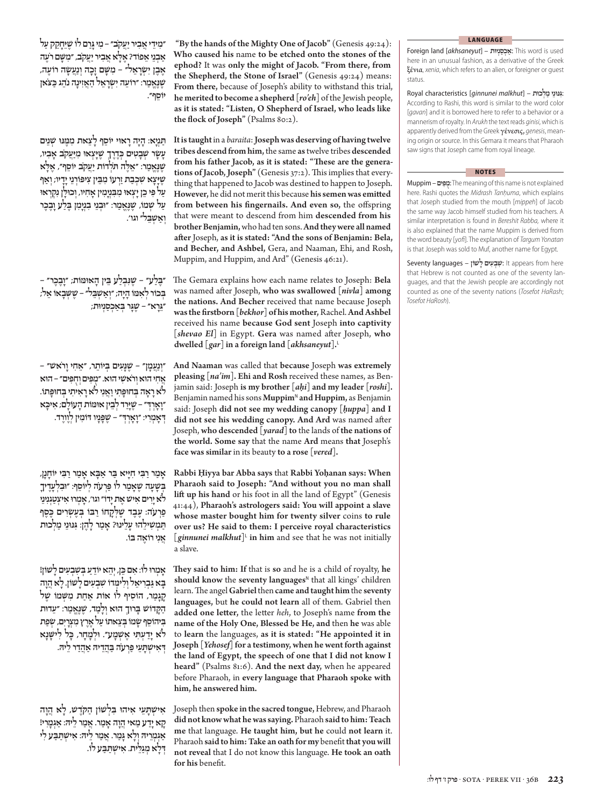**ִ״מ ֵידיֲא ִבירַיֲעקֹב״ – ִמיָּגַרם לוֹ ֶׁשֵיָּחֵקק ַעל ּלאֲא ִבירַיֲעקֹב, ִ״מָּׁשם רֶֹעה ַא ְבֵני ֵאפוֹד? ֶאָ ֶאֶבן ִי ְׂשָרֵאל״ – ִמָּׁשם ָזָכה ְוַנֲע ָׂשה ֶרוֹעה, ּכ ּצֹאן ֶׁשֶּנֱאַמר: ֵ ״רוֹעה ִי ְׂשָרֵאל ַהֲאִז ָינה נֵֹהג ַ ֵ יוֹסף״.**

**ַּתְנָיא: ָהָיהָר ּאוי ֵ יוֹסף ָלֵצאת ִמ ֶּמּנּו ׁ ְשֵנים ּכֶדֶרְך ֶׁשָיּ ְצ ּאו ִמַיֲּעקֹב ָא ִביו, ָע ָׂשר ׁ ְשָב ִטים ְ ּלא ּלה ּתֹ ְלדוֹת ַיֲעקֹב ֵ יוֹסף״, ֶאָ ֶׁשֶּנֱאַמר: ֵ״אֶ ֶׁשָיָּצא ׁ ִשְכַבתַזְרעוֹ ִמֵּבין ִצ ּיפ ְוֹרֵניָיָדיו; ְוַאף ַעל ִּפי ֵכןָי ְצ ּאו ִמ ִּבְנָי ִמין ָא ִחיו, ְו ּכוָּלן ִנְקְר ּאו ַעל ׁ ְשמוֹ, ֶׁשֶּנֱאַמר: ּ״וְבֵני ִבְנָי ִמן ֶּבַלעָוֶבֶכר ְוַאׁ ְשֵּבל״ וגו'.**

**ּנ ְבַלע ֵּבין ָה ּאו ּמוֹת; ָ״וֶבֶכר״ – ֶּ״בַלע״ – ֶׁשִ ְּבכוֹר ְל ִא ּמוֹ ָהָיה; ְ״וַאׁ ְשֵּבל״ – ֶׁשְּׁשָבאוֹ ֵאל; ֵּ״גָרא״ – ֶׁשָּגר ְּבַא ְכַסְניוּת;**

**ְ״וַנֲעָמן״ – ֶׁשָּנִעים ְּב ֵ יוֹתר, ֵ״א ִחיָורֹ ׁאש״ – ֲא ִחי ּהואְורֹ ׁ ִאשי ּהוא. ֻ״מִּפיםְוֻחִּפים״ – ּהוא לֹאָרָאה ְּב ּחוָּפ ִתיַוֲאִני לֹאָרִא ִיתי ְּב ּחוָּפתוֹ. ּיכא ָ״וָאְרְ ּד״ – ֶׁשָיַּרד ְלֵבין ּאו ּמוֹת ָה ָעוֹלם; ִא ָ ְ ּדָא ְמִרי: ָ״וָאְרְ ּד״ – ֶׁשָּפָניו ּד ִוֹמין ְלֶוֶורד.**

**ָאַמרַרִּבי ִחָיּיא ַּבר ַאָּבא ָאַמרַרִּבי ָ יוֹחָנן, ְּבָׁשָעה ֶׁשָאַמר לוֹ ַּפְרעֹה ְל ֵ יוֹסף: ּ״וִבְלָעֶד ָיך לֹאָיִרים ִא ׁיש ֶאתָידוֹ״וגו', ָא ְמ ּרו ִא ְיצַטְגִנֵיני ּכֶסף ַפְרעֹה: ֶעֶבד ֶׁשְּלָקחוֹ ַרּבוֹ ְּבֶע ְׂשִרים ֶ ַּת ְמׁ ִש ֵיל ּהו ָעֵל ּ ינו? ָאַמר ָלֶהן: ִּגּנּוֵני ַמְל ּכות ֲאִני ֶרוֹאה ּבוֹ.**

**ּכן, ְיֵהא ֵ יוֹדע ְּבׁ ִשְב ִעים ָל ׁשוֹן! ָא ְמ ּרו לוֹ: ִאם ֵ ָּבאַּג ְבִר ֵיאל ְוִל ְּימדוֹ ׁ ִשְב ִעים ָל ׁשוֹן. ָלאֲהָוה ָקָגַמר, ִהוֹסיף לוֹ אוֹת ַאַחת ִמְּׁשמוֹ ֶׁשל ַהָּק ׁדוֹש ָּב ּרו ְך ּהוא ְוָלַמד, ֶׁשֶּנֱאַמר: ֵ״ע ּדות ִּב ֵ יהוֹסף ָׂשמוֹ ְּבֵצאתוֹ ַעל ֶאֶרץ ִמ ְצָרִים, ְׂשַפת ּכל ִל ָּׁ ישָנא לֹא ָיַד ְע ִּתי ֶאׁ ְשָמע״. ּו ְלָמָחר, ָ ְ ּד ִא ׁ ְ ישָּתֵעי ַּפְרעֹה ַּבֲהֵד ּיה ַאֲהַדרֵל ּיה.**

**ִא ׁ ְ יש ָּתֵעי ִא ּ יהו ִּב ְל ׁשוֹן ַה ּקֶֹד ׁש, ָלא ֲהָוה ָקאָיַדע ַמאיֲהָוה ָאַמר. ֲאַמרֵל ּיה: ַאְגָמִרי! ַאְג ְמֵר ּיה ְוָלא ָּגַמר. ֲאַמר ֵל ּיה: ִא ׁ ְ ישַּתַּבע ִלי ְ ּדָלא ְמַגֵּלית. ִא ׁ ְ ישַּתַּבע לוֹ.**

"By the hands of the Mighty One of Jacob" (Genesis 49:24): **Who caused his** name **to be etched onto the stones of the ephod?** It was **only the might of Jacob. "From there, from the Shepherd, the Stone of Israel"** (Genesis 49:24) means: **From there,** because of Joseph's ability to withstand this trial, **he merited to become a shepherd [***ro'eh***]** of the Jewish people, **as it is stated: "Listen, O Shepherd of Israel, who leads like the flock of Joseph"** (Psalms 80:2).

**It is taught** in a *baraita*: **Joseph was deserving of having twelve tribes descend from him,** the same **as** twelve tribes **descended**  from his father Jacob, as it is stated: "These are the generations of Jacob, Joseph" (Genesis 37:2). This implies that everything that happened to Jacob was destined to happen to Joseph. **However,** he did not merit this because **his semen was emitt ed from between his fingernails. And even so, the offspring** that were meant to descend from him **descended from his brother Benjamin,** who had ten sons. **And they were all named aft er** Joseph, **as it is stated: "And the sons of Benjamin: Bela, and Becher, and Ashbel,** Gera, and Naaman, Ehi, and Rosh, Muppim, and Huppim, and Ard" (Genesis 46:21).

The Gemara explains how each name relates to Joseph: Bela was named after Joseph, who was swallowed [*nivla*] among **the nations. And Becher** received that name because Joseph **was the fi rstborn [***bekhor***] of his mother,** Rachel. **And Ashbel**  received his name **because God sent** Joseph **into captivity**  [shevao El] in Egypt. Gera was named after Joseph, who **dwelled [***gar***] in a foreign land [***akhsaneyut***].**<sup>L</sup>

**And Naaman** was called that **because** Joseph **was extremely pleasing [***na'im***]. Ehi and Rosh** received these names, as Benjamin said: Joseph **is my brother [***aĥi***] and my leader [***roshi***].**  Benjamin named his sons **Muppim**<sup>N</sup> and Huppim, as Benjamin said: Joseph **did not see my wedding canopy [***ĥuppa***] and I**  did not see his wedding canopy. And Ard was named after Joseph, **who descended [***yarad***] to** the lands of **the nations of the world. Some say** that the name **Ard** means **that** Joseph's **face was similar** in its beauty **to a rose [***vered***].**

**Rabbi Ĥiyya bar Abba says** that **Rabbi Yoĥanan says: When Pharaoh said to Joseph: "And without you no man shall lift up his hand** or his foot in all the land of Egypt" (Genesis 41:44), Pharaoh's astrologers said: You will appoint a slave **whose master bought him for twenty silver** coins **to rule over us? He said to them: I perceive royal characteristics**   $\int$ *ginnunei malkhut*<sup> $\vert$ </sup> **in him** and see that he was not initially a slave.

**Th ey said to him: If** that is **so** and he is a child of royalty, **he**  should know the seventy languages<sup>N</sup> that all kings' children learn. The angel Gabriel then came and taught him the seventy **languages,** but **he could not learn** all of them. Gabriel then added one letter, the letter *heh*, to Joseph's name from the **name of the Holy One, Blessed be He, and** then **he** was able to **learn** the languages, **as it is stated: "He appointed it in Joseph [***Yehosef***] for a testimony, when he went forth against the land of Egypt, the speech of one that I did not know I**  heard" (Psalms 81:6). And the next day, when he appeared before Pharaoh, in **every language that Pharaoh spoke with him, he answered him.**

Joseph then **spoke in the sacred tongue,** Hebrew, and Pharaoh **did not know what he was saying.** Pharaoh **said to him: Teach me** that language. **He taught him, but he** could **not learn** it. Pharaoh **said to him: Take an oath for my** benefit**that you will not reveal** that I do not know this language. **He took an oath for his** benefit.

#### **LANGUAGE**

 Foreign land [*akhsaneyut*] – **ניוּתְסַכְ אַ**: This word is used here in an unusual fashion, as a derivative of the Greek ξένια, *xenia*, which refers to an alien, or foreigner or guest status.

**ִּ**:**גּנּוֵני ַמְל ּכות** – [*malkhut ginnunei* [characteristics Royal According to Rashi, this word is similar to the word color [*gavan*] and it is borrowed here to refer to a behavior or a mannerism of royalty. In *Arukh* the text reads *ginisi*, which is apparently derived from the Greek γένεσις, *genesis*, meaning origin or source. In this Gemara it means that Pharaoh saw signs that Joseph came from royal lineage.

### **NOTES**

 Muppim – **פיםִּמֻ**: The meaning of this name is not explained here. Rashi quotes the *Midrash Tanĥuma*, which explains that Joseph studied from the mouth [*mippeh*] of Jacob the same way Jacob himself studied from his teachers. A similar interpretation is found in *Bereshit Rabba,* where it is also explained that the name Muppim is derived from the word beauty [*yofi*]. The explanation of *Targum Yonatan* is that Joseph was sold to Muf, another name for Egypt.

 Seventy languages – **שוֹןׁ לָ עיםִ בְשִ ׁ** : It appears from here that Hebrew is not counted as one of the seventy languages, and that the Jewish people are accordingly not counted as one of the seventy nations (*Tosefot HaRash*; *Tosefot HaRosh*).